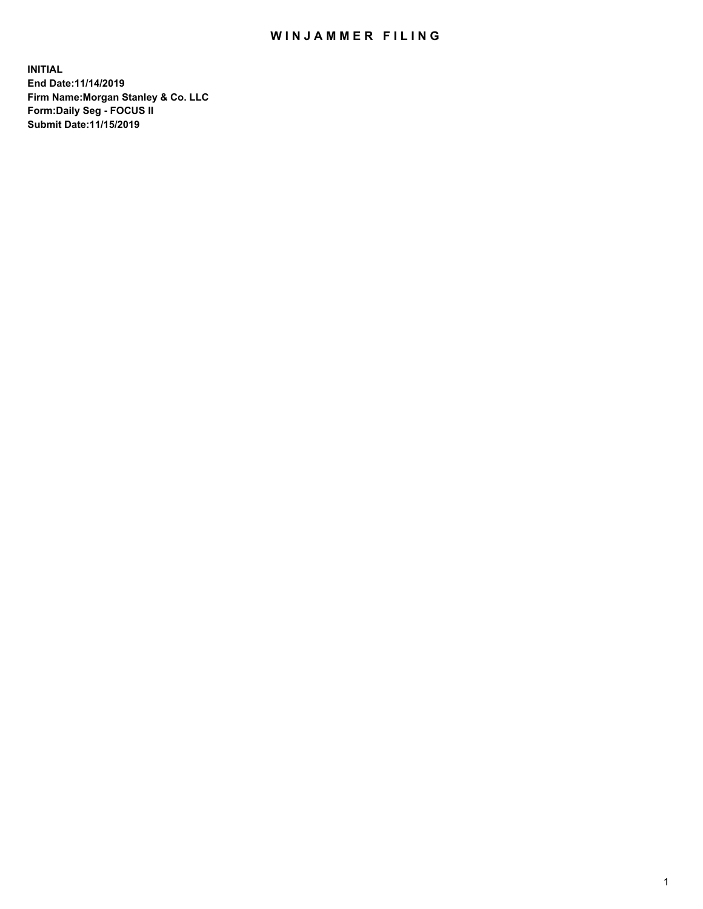## WIN JAMMER FILING

**INITIAL End Date:11/14/2019 Firm Name:Morgan Stanley & Co. LLC Form:Daily Seg - FOCUS II Submit Date:11/15/2019**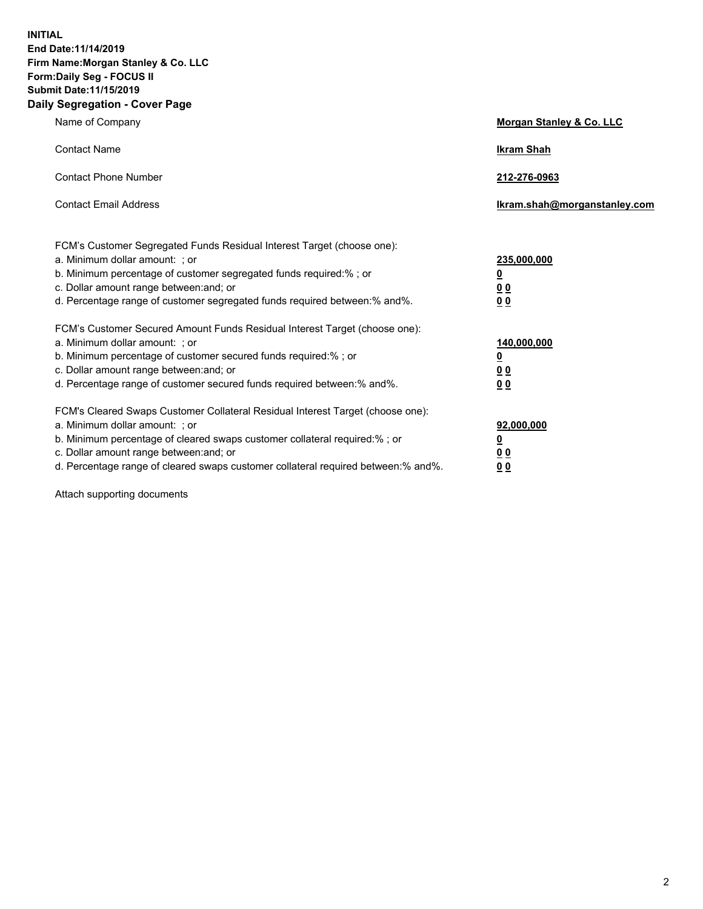**INITIAL End Date:11/14/2019 Firm Name:Morgan Stanley & Co. LLC Form:Daily Seg - FOCUS II Submit Date:11/15/2019 Daily Segregation - Cover Page**

| Name of Company                                                                                                                                                                                                                                                                                                                | Morgan Stanley & Co. LLC                                    |
|--------------------------------------------------------------------------------------------------------------------------------------------------------------------------------------------------------------------------------------------------------------------------------------------------------------------------------|-------------------------------------------------------------|
| <b>Contact Name</b>                                                                                                                                                                                                                                                                                                            | <b>Ikram Shah</b>                                           |
| <b>Contact Phone Number</b>                                                                                                                                                                                                                                                                                                    | 212-276-0963                                                |
| <b>Contact Email Address</b>                                                                                                                                                                                                                                                                                                   | Ikram.shah@morganstanley.com                                |
| FCM's Customer Segregated Funds Residual Interest Target (choose one):<br>a. Minimum dollar amount: ; or<br>b. Minimum percentage of customer segregated funds required:% ; or<br>c. Dollar amount range between: and; or<br>d. Percentage range of customer segregated funds required between:% and%.                         | 235,000,000<br><u>0</u><br>0 <sub>0</sub><br>0 <sub>0</sub> |
| FCM's Customer Secured Amount Funds Residual Interest Target (choose one):<br>a. Minimum dollar amount: ; or<br>b. Minimum percentage of customer secured funds required:%; or<br>c. Dollar amount range between: and; or<br>d. Percentage range of customer secured funds required between:% and%.                            | 140,000,000<br><u>0</u><br>0 <sub>0</sub><br>0 <sub>0</sub> |
| FCM's Cleared Swaps Customer Collateral Residual Interest Target (choose one):<br>a. Minimum dollar amount: ; or<br>b. Minimum percentage of cleared swaps customer collateral required:% ; or<br>c. Dollar amount range between: and; or<br>d. Percentage range of cleared swaps customer collateral required between:% and%. | 92,000,000<br><u>0</u><br><u>00</u><br>0 <sub>0</sub>       |

Attach supporting documents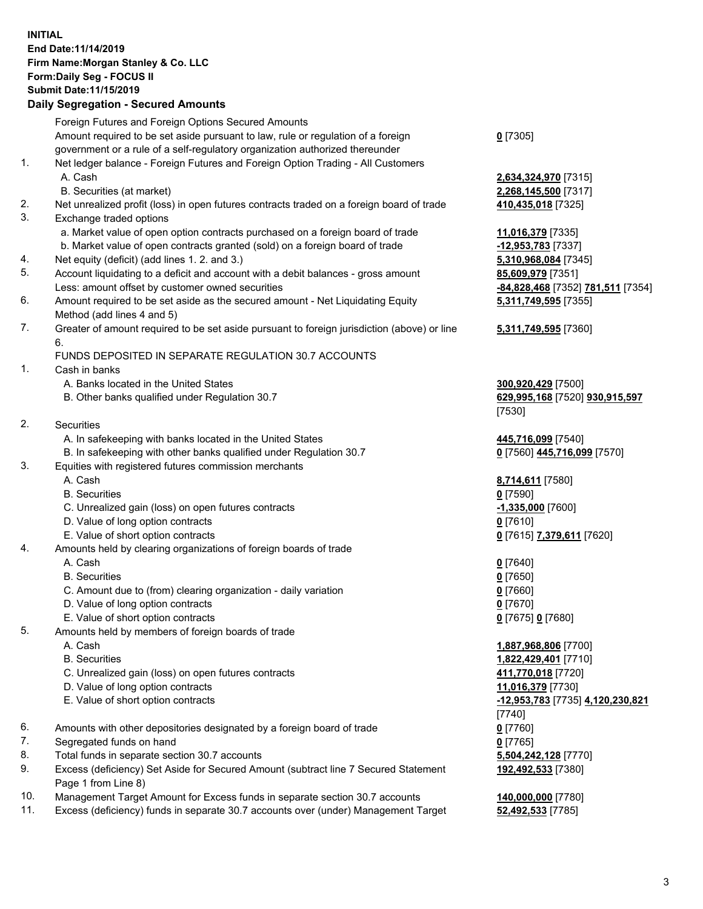## **INITIAL End Date:11/14/2019 Firm Name:Morgan Stanley & Co. LLC Form:Daily Seg - FOCUS II Submit Date:11/15/2019**

## **Daily Segregation - Secured Amounts**

|    | Foreign Futures and Foreign Options Secured Amounts                                               |                                   |
|----|---------------------------------------------------------------------------------------------------|-----------------------------------|
|    | Amount required to be set aside pursuant to law, rule or regulation of a foreign                  | $0$ [7305]                        |
|    | government or a rule of a self-regulatory organization authorized thereunder                      |                                   |
| 1. | Net ledger balance - Foreign Futures and Foreign Option Trading - All Customers                   |                                   |
|    | A. Cash                                                                                           | 2,634,324,970 [7315]              |
|    | B. Securities (at market)                                                                         | 2,268,145,500 [7317]              |
| 2. | Net unrealized profit (loss) in open futures contracts traded on a foreign board of trade         | 410,435,018 [7325]                |
| 3. | Exchange traded options                                                                           |                                   |
|    | a. Market value of open option contracts purchased on a foreign board of trade                    | 11,016,379 [7335]                 |
|    | b. Market value of open contracts granted (sold) on a foreign board of trade                      | $-12,953,783$ [7337]              |
| 4. | Net equity (deficit) (add lines 1. 2. and 3.)                                                     | 5,310,968,084 [7345]              |
| 5. | Account liquidating to a deficit and account with a debit balances - gross amount                 | 85,609,979 [7351]                 |
|    | Less: amount offset by customer owned securities                                                  | -84,828,468 [7352] 781,511 [7354] |
| 6. | Amount required to be set aside as the secured amount - Net Liquidating Equity                    | 5,311,749,595 [7355]              |
|    | Method (add lines 4 and 5)                                                                        |                                   |
| 7. | Greater of amount required to be set aside pursuant to foreign jurisdiction (above) or line<br>6. | 5,311,749,595 [7360]              |
|    | FUNDS DEPOSITED IN SEPARATE REGULATION 30.7 ACCOUNTS                                              |                                   |
| 1. | Cash in banks                                                                                     |                                   |
|    | A. Banks located in the United States                                                             | 300,920,429 [7500]                |
|    | B. Other banks qualified under Regulation 30.7                                                    | 629,995,168 [7520] 930,915,597    |
|    |                                                                                                   | [7530]                            |
| 2. | Securities                                                                                        |                                   |
|    | A. In safekeeping with banks located in the United States                                         | 445,716,099 [7540]                |
|    | B. In safekeeping with other banks qualified under Regulation 30.7                                | 0 [7560] 445,716,099 [7570]       |
| 3. | Equities with registered futures commission merchants                                             |                                   |
|    | A. Cash                                                                                           | 8,714,611 [7580]                  |
|    | <b>B.</b> Securities                                                                              | $0$ [7590]                        |
|    | C. Unrealized gain (loss) on open futures contracts                                               | $-1,335,000$ [7600]               |
|    | D. Value of long option contracts                                                                 | $0$ [7610]                        |
|    | E. Value of short option contracts                                                                | 0 [7615] 7,379,611 [7620]         |
| 4. | Amounts held by clearing organizations of foreign boards of trade                                 |                                   |
|    | A. Cash                                                                                           | $0$ [7640]                        |
|    | <b>B.</b> Securities                                                                              | $0$ [7650]                        |
|    | C. Amount due to (from) clearing organization - daily variation                                   | $0$ [7660]                        |
|    | D. Value of long option contracts                                                                 | $0$ [7670]                        |
|    | E. Value of short option contracts                                                                | 0 [7675] 0 [7680]                 |
| 5. | Amounts held by members of foreign boards of trade                                                |                                   |
|    | A. Cash                                                                                           | 1,887,968,806 [7700]              |
|    | <b>B.</b> Securities                                                                              | 1,822,429,401 [7710]              |
|    | C. Unrealized gain (loss) on open futures contracts                                               | 411,770,018 [7720]                |
|    | D. Value of long option contracts                                                                 | 11,016,379 [7730]                 |
|    | E. Value of short option contracts                                                                | -12,953,783 [7735] 4,120,230,821  |
|    |                                                                                                   | [7740]                            |
| 6. | Amounts with other depositories designated by a foreign board of trade                            | $0$ [7760]                        |
| 7. | Segregated funds on hand                                                                          | $0$ [7765]                        |
| 8. | Total funds in separate section 30.7 accounts                                                     | 5,504,242,128 [7770]              |
| 9. | Excess (deficiency) Set Aside for Secured Amount (subtract line 7 Secured Statement               | 192,492,533 [7380]                |
|    | Page 1 from Line 8)                                                                               |                                   |
|    |                                                                                                   |                                   |

- 10. Management Target Amount for Excess funds in separate section 30.7 accounts **140,000,000** [7780]
- 11. Excess (deficiency) funds in separate 30.7 accounts over (under) Management Target **52,492,533** [7785]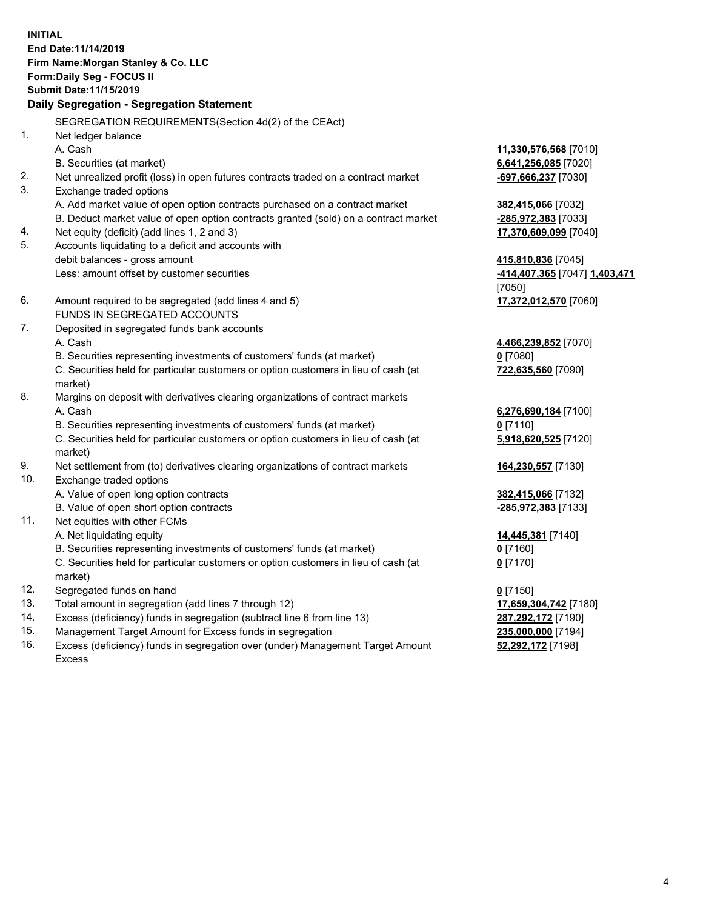**INITIAL End Date:11/14/2019 Firm Name:Morgan Stanley & Co. LLC Form:Daily Seg - FOCUS II Submit Date:11/15/2019 Daily Segregation - Segregation Statement** SEGREGATION REQUIREMENTS(Section 4d(2) of the CEAct) 1. Net ledger balance A. Cash **11,330,576,568** [7010] B. Securities (at market) **6,641,256,085** [7020] 2. Net unrealized profit (loss) in open futures contracts traded on a contract market **-697,666,237** [7030] 3. Exchange traded options A. Add market value of open option contracts purchased on a contract market **382,415,066** [7032] B. Deduct market value of open option contracts granted (sold) on a contract market **-285,972,383** [7033] 4. Net equity (deficit) (add lines 1, 2 and 3) **17,370,609,099** [7040] 5. Accounts liquidating to a deficit and accounts with debit balances - gross amount **415,810,836** [7045] Less: amount offset by customer securities **-414,407,365** [7047] **1,403,471** [7050] 6. Amount required to be segregated (add lines 4 and 5) **17,372,012,570** [7060] FUNDS IN SEGREGATED ACCOUNTS 7. Deposited in segregated funds bank accounts A. Cash **4,466,239,852** [7070] B. Securities representing investments of customers' funds (at market) **0** [7080] C. Securities held for particular customers or option customers in lieu of cash (at market) **722,635,560** [7090] 8. Margins on deposit with derivatives clearing organizations of contract markets A. Cash **6,276,690,184** [7100] B. Securities representing investments of customers' funds (at market) **0** [7110] C. Securities held for particular customers or option customers in lieu of cash (at market) **5,918,620,525** [7120] 9. Net settlement from (to) derivatives clearing organizations of contract markets **164,230,557** [7130] 10. Exchange traded options A. Value of open long option contracts **382,415,066** [7132] B. Value of open short option contracts **-285,972,383** [7133] 11. Net equities with other FCMs A. Net liquidating equity **14,445,381** [7140] B. Securities representing investments of customers' funds (at market) **0** [7160] C. Securities held for particular customers or option customers in lieu of cash (at market) **0** [7170] 12. Segregated funds on hand **0** [7150] 13. Total amount in segregation (add lines 7 through 12) **17,659,304,742** [7180] 14. Excess (deficiency) funds in segregation (subtract line 6 from line 13) **287,292,172** [7190]

- 15. Management Target Amount for Excess funds in segregation **235,000,000** [7194]
- 16. Excess (deficiency) funds in segregation over (under) Management Target Amount Excess

**52,292,172** [7198]